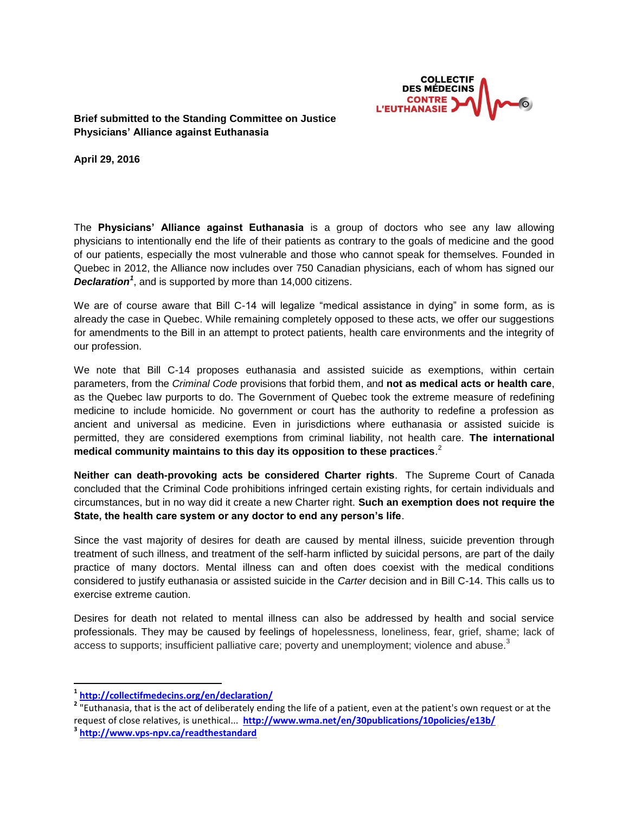

**Brief submitted to the Standing Committee on Justice Physicians' Alliance against Euthanasia**

**April 29, 2016**

The **Physicians' Alliance against Euthanasia** is a group of doctors who see any law allowing physicians to intentionally end the life of their patients as contrary to the goals of medicine and the good of our patients, especially the most vulnerable and those who cannot speak for themselves. Founded in Quebec in 2012, the Alliance now includes over 750 Canadian physicians, each of whom has signed our *Declaration<sup>1</sup>* , and is supported by more than 14,000 citizens.

We are of course aware that Bill C-14 will legalize "medical assistance in dying" in some form, as is already the case in Quebec. While remaining completely opposed to these acts, we offer our suggestions for amendments to the Bill in an attempt to protect patients, health care environments and the integrity of our profession.

We note that Bill C-14 proposes euthanasia and assisted suicide as exemptions, within certain parameters, from the *Criminal Code* provisions that forbid them, and **not as medical acts or health care**, as the Quebec law purports to do. The Government of Quebec took the extreme measure of redefining medicine to include homicide. No government or court has the authority to redefine a profession as ancient and universal as medicine. Even in jurisdictions where euthanasia or assisted suicide is permitted, they are considered exemptions from criminal liability, not health care. **The international medical community maintains to this day its opposition to these practices**. 2

**Neither can death-provoking acts be considered Charter rights**. The Supreme Court of Canada concluded that the Criminal Code prohibitions infringed certain existing rights, for certain individuals and circumstances, but in no way did it create a new Charter right. **Such an exemption does not require the State, the health care system or any doctor to end any person's life**.

Since the vast majority of desires for death are caused by mental illness, suicide prevention through treatment of such illness, and treatment of the self-harm inflicted by suicidal persons, are part of the daily practice of many doctors. Mental illness can and often does coexist with the medical conditions considered to justify euthanasia or assisted suicide in the *Carter* decision and in Bill C-14. This calls us to exercise extreme caution.

Desires for death not related to mental illness can also be addressed by health and social service professionals. They may be caused by feelings of hopelessness, loneliness, fear, grief, shame; lack of access to supports; insufficient palliative care; poverty and unemployment; violence and abuse.<sup>3</sup>

**3 <http://www.vps-npv.ca/readthestandard>**

 $\overline{a}$ 

**<sup>1</sup> <http://collectifmedecins.org/en/declaration/>**

**<sup>2</sup>** "Euthanasia, that is the act of deliberately ending the life of a patient, even at the patient's own request or at the request of close relatives, is unethical... **<http://www.wma.net/en/30publications/10policies/e13b/>**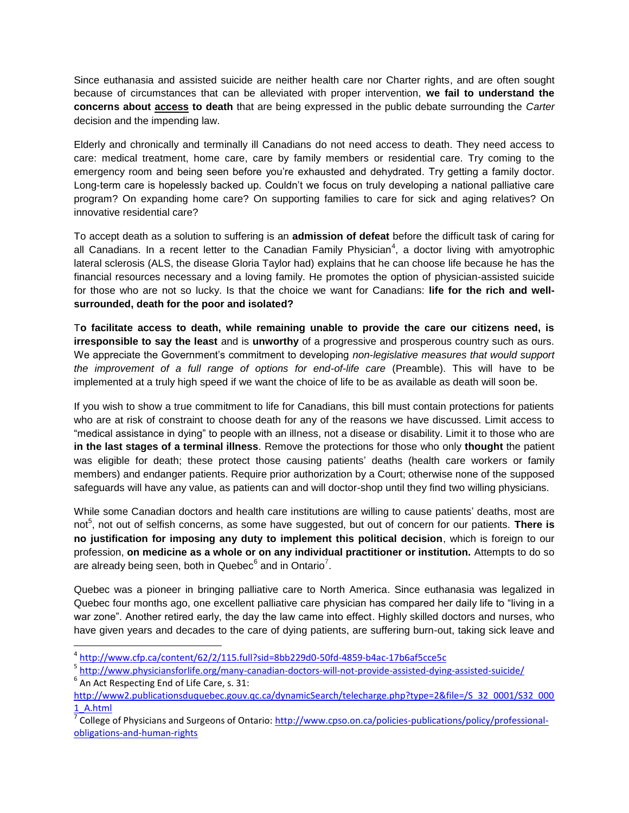Since euthanasia and assisted suicide are neither health care nor Charter rights, and are often sought because of circumstances that can be alleviated with proper intervention, **we fail to understand the concerns about access to death** that are being expressed in the public debate surrounding the *Carter* decision and the impending law.

Elderly and chronically and terminally ill Canadians do not need access to death. They need access to care: medical treatment, home care, care by family members or residential care. Try coming to the emergency room and being seen before you're exhausted and dehydrated. Try getting a family doctor. Long-term care is hopelessly backed up. Couldn't we focus on truly developing a national palliative care program? On expanding home care? On supporting families to care for sick and aging relatives? On innovative residential care?

To accept death as a solution to suffering is an **admission of defeat** before the difficult task of caring for all Canadians. In a recent letter to the Canadian Family Physician<sup>4</sup>, a doctor living with amyotrophic lateral sclerosis (ALS, the disease Gloria Taylor had) explains that he can choose life because he has the financial resources necessary and a loving family. He promotes the option of physician-assisted suicide for those who are not so lucky. Is that the choice we want for Canadians: **life for the rich and wellsurrounded, death for the poor and isolated?**

T**o facilitate access to death, while remaining unable to provide the care our citizens need, is irresponsible to say the least** and is **unworthy** of a progressive and prosperous country such as ours. We appreciate the Government's commitment to developing *non-legislative measures that would support the improvement of a full range of options for end-of-life care* (Preamble). This will have to be implemented at a truly high speed if we want the choice of life to be as available as death will soon be.

If you wish to show a true commitment to life for Canadians, this bill must contain protections for patients who are at risk of constraint to choose death for any of the reasons we have discussed. Limit access to "medical assistance in dying" to people with an illness, not a disease or disability. Limit it to those who are **in the last stages of a terminal illness**. Remove the protections for those who only **thought** the patient was eligible for death; these protect those causing patients' deaths (health care workers or family members) and endanger patients. Require prior authorization by a Court; otherwise none of the supposed safeguards will have any value, as patients can and will doctor-shop until they find two willing physicians.

While some Canadian doctors and health care institutions are willing to cause patients' deaths, most are not<sup>5</sup>, not out of selfish concerns, as some have suggested, but out of concern for our patients. There is **no justification for imposing any duty to implement this political decision**, which is foreign to our profession, **on medicine as a whole or on any individual practitioner or institution.** Attempts to do so are already being seen, both in Quebec $^6$  and in Ontario<sup>7</sup>.

Quebec was a pioneer in bringing palliative care to North America. Since euthanasia was legalized in Quebec four months ago, one excellent palliative care physician has compared her daily life to "living in a war zone". Another retired early, the day the law came into effect. Highly skilled doctors and nurses, who have given years and decades to the care of dying patients, are suffering burn-out, taking sick leave and

<sup>5</sup> <http://www.physiciansforlife.org/many-canadian-doctors-will-not-provide-assisted-dying-assisted-suicide/>

 4 <http://www.cfp.ca/content/62/2/115.full?sid=8bb229d0-50fd-4859-b4ac-17b6af5cce5c>

 $^6$  An Act Respecting End of Life Care, s. 31:

[http://www2.publicationsduquebec.gouv.qc.ca/dynamicSearch/telecharge.php?type=2&file=/S\\_32\\_0001/S32\\_000](http://www2.publicationsduquebec.gouv.qc.ca/dynamicSearch/telecharge.php?type=2&file=/S_32_0001/S32_0001_A.html) [1\\_A.html](http://www2.publicationsduquebec.gouv.qc.ca/dynamicSearch/telecharge.php?type=2&file=/S_32_0001/S32_0001_A.html)

<sup>&</sup>lt;sup>7</sup> College of Physicians and Surgeons of Ontario: <u>http://www.cpso.on.ca/policies-publications/policy/professional-</u> [obligations-and-human-rights](http://www.cpso.on.ca/policies-publications/policy/professional-obligations-and-human-rights)